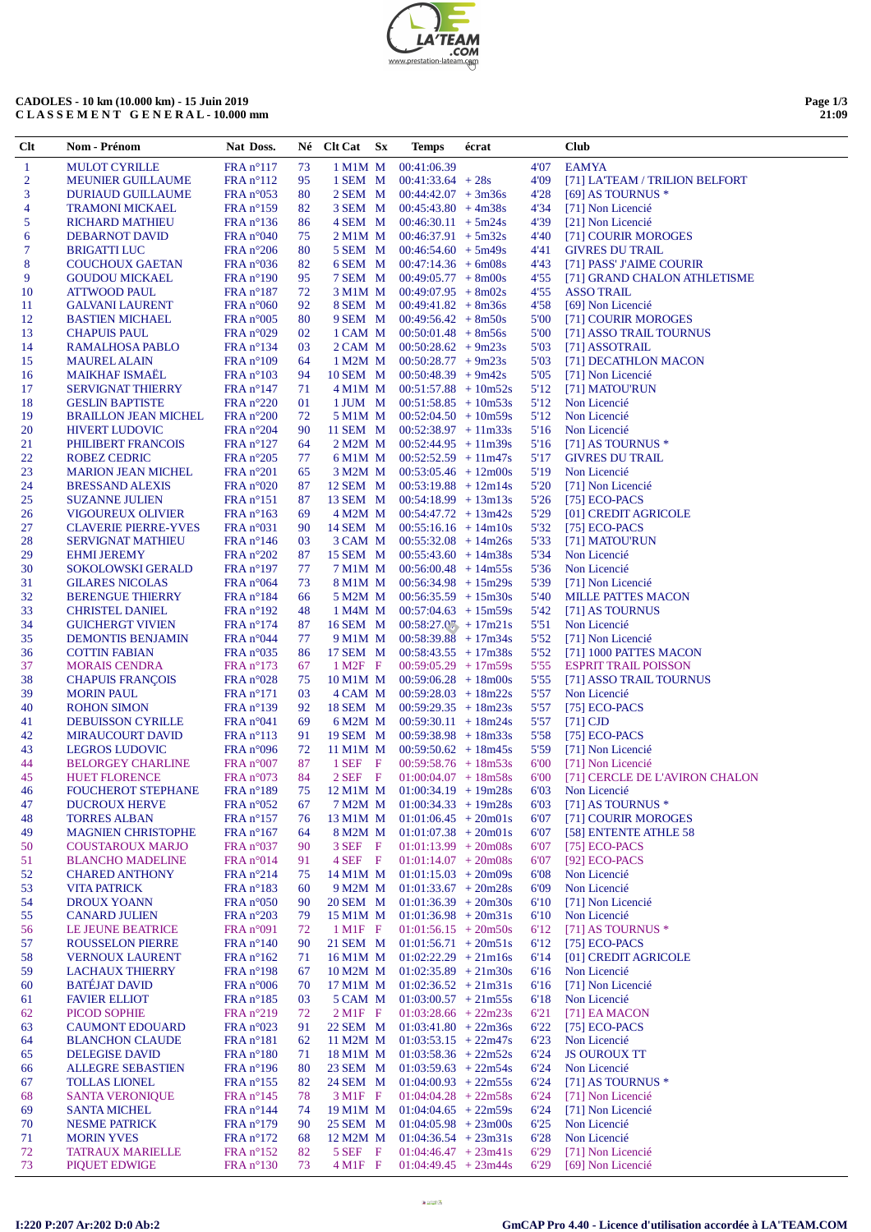| <b>'TEAM</b><br>.COM      |
|---------------------------|
| www.prestation-lateam.com |

## **CADOLES - 10 km (10.000 km) - 15 Juin 2019 C L A S S E M E N T G E N E R A L - 10.000 mm**

| Page 1/3 |       |
|----------|-------|
|          | 21:09 |

 $\overline{\phantom{0}}$ 

| Clt            | Nom - Prénom                                     | Nat Doss.                                |          | $N\acute{e}$ Clt Cat $Sx$ | Temps                                                                  | écrat |              | <b>Club</b>                                   |
|----------------|--------------------------------------------------|------------------------------------------|----------|---------------------------|------------------------------------------------------------------------|-------|--------------|-----------------------------------------------|
| $\mathbf{1}$   | <b>MULOT CYRILLE</b>                             | $FRA n^{\circ}117$                       | 73       | 1 M1M M                   | 00:41:06.39                                                            |       | 4'07         | <b>EAMYA</b>                                  |
| $\overline{2}$ | <b>MEUNIER GUILLAUME</b>                         | $FRA n^{\circ}112$                       | 95       |                           | $1$ SEM M $00:41:33.64 + 28s$                                          |       | 4'09         | [71] LA'TEAM / TRILION BELFORT                |
| 3              | <b>DURIAUD GUILLAUME</b>                         | $FRA n^{\circ}053$                       | 80       |                           | $2$ SEM M $00:44:42.07 + 3m36s$                                        |       | 4'28         | [69] AS TOURNUS *                             |
| 4              | <b>TRAMONI MICKAEL</b>                           | $FRA n^{\circ}159$                       | 82       |                           | $3$ SEM M $00:45:43.80 + 4m38s$                                        |       | 4'34         | [71] Non Licencié                             |
| 5              | <b>RICHARD MATHIEU</b>                           | $FRA n^{\circ}136$                       | 86       |                           | $4$ SEM M $00:46:30.11 + 5m24s$                                        |       | 4'39         | [21] Non Licencié                             |
| 6<br>7         | <b>DEBARNOT DAVID</b><br><b>BRIGATTI LUC</b>     | FRA n°040<br>$FRA n^{\circ}206$          | 75<br>80 |                           | $2$ M1M M $00:46:37.91 + 5m32s$<br>$5$ SEM M 00:46:54.60 $+5$ m49s     |       | 4'40<br>4'41 | [71] COURIR MOROGES<br><b>GIVRES DU TRAIL</b> |
| 8              | <b>COUCHOUX GAETAN</b>                           | $FRA n^{\circ}036$                       | 82       |                           | 6 SEM $\ M$ 00:47:14.36 + 6m08s                                        |       | 4'43         | [71] PASS' J'AIME COURIR                      |
| 9              | <b>GOUDOU MICKAEL</b>                            | $FRA n^{\circ}190$                       | 95       |                           | $7$ SEM M $00:49:05.77 + 8m00s$                                        |       | 4'55         | [71] GRAND CHALON ATHLETISME                  |
| 10             | <b>ATTWOOD PAUL</b>                              | $FRA n^{\circ}187$                       | 72       |                           | $3$ M1M M $00:49:07.95 + 8m02s$                                        |       | 4'55         | <b>ASSO TRAIL</b>                             |
| 11             | <b>GALVANI LAURENT</b>                           | FRA n°060                                | 92       |                           | $8$ SEM M 00:49:41.82 $+ 8$ m36s                                       |       | 4'58         | [69] Non Licencié                             |
| 12             | <b>BASTIEN MICHAEL</b>                           | FRA n°005                                | 80       |                           | $9$ SEM M $00:49:56.42 + 8m50s$                                        |       | 5'00         | [71] COURIR MOROGES                           |
| 13             | <b>CHAPUIS PAUL</b>                              | FRA n°029                                | 02       |                           | $1$ CAM M $00:50:01.48 + 8m56s$                                        |       | 5'00         | [71] ASSO TRAIL TOURNUS                       |
| 14             | RAMALHOSA PABLO                                  | $FRA n^{\circ}134$                       | 03<br>64 |                           | $2$ CAM M $00:50:28.62 + 9m23s$                                        |       | 5'03         | $[71]$ ASSOTRAIL                              |
| 15<br>16       | <b>MAUREL ALAIN</b><br><b>MAIKHAF ISMAEL</b>     | $FRA n^{\circ}109$<br>$FRA n^{\circ}103$ | 94       |                           | $1 M2M M 00:50:28.77 + 9m23s$<br>$10$ SEM M $00:50:48.39 + 9m42s$      |       | 5'03<br>5'05 | [71] DECATHLON MACON<br>[71] Non Licencié     |
| 17             | <b>SERVIGNAT THIERRY</b>                         | $FRA n^{\circ}147$                       | 71       |                           | $4 \text{ M}1\text{M}$ M $00:51:57.88 + 10 \text{m}52\text{s}$         |       | 5'12         | [71] MATOU'RUN                                |
| 18             | <b>GESLIN BAPTISTE</b>                           | $FRA n^{\circ}220$                       | 01       |                           | $1$ JUM M $00:51:58.85 + 10m53s$                                       |       | 5'12         | Non Licencié                                  |
| 19             | <b>BRAILLON JEAN MICHEL</b>                      | FRA n°200                                | 72       |                           | $5$ M1M M $00:52:04.50 + 10m59s$                                       |       | 5'12         | Non Licencié                                  |
| 20             | <b>HIVERT LUDOVIC</b>                            | $FRA n^{\circ}204$                       | 90       |                           | 11 SEM $M = 00:52:38.97 + 11m33s$                                      |       | 5'16         | Non Licencié                                  |
| 21             | PHILIBERT FRANCOIS                               | $FRA n^{\circ}127$                       | 64       |                           | $2 M2M M$ 00:52:44.95 + 11m39s                                         |       | 5'16         | [71] AS TOURNUS $*$                           |
| 22             | ROBEZ CEDRIC                                     | $FRA n^{\circ}205$                       | 77       |                           | $6$ M1M M $00:52:52.59$ + 11m47s                                       |       | 5'17         | <b>GIVRES DU TRAIL</b>                        |
| 23             | <b>MARION JEAN MICHEL</b>                        | FRA n°201                                | 65       |                           | $3 M2M M$ 00:53:05.46 + 12m00s                                         |       | 5'19         | Non Licencié                                  |
| 24<br>25       | <b>BRESSAND ALEXIS</b><br><b>SUZANNE JULIEN</b>  | FRA n°020<br>$FRA n^{\circ}151$          | 87<br>87 |                           | $12$ SEM M $00:53:19.88 + 12m14s$<br>13 SEM $M = 00:54:18.99 + 13m13s$ |       | 5'20<br>5'26 | [71] Non Licencié<br>$[75]$ ECO-PACS          |
| 26             | <b>VIGOUREUX OLIVIER</b>                         | $FRA n^{\circ}163$                       | 69       |                           | $4 M2M M 00:54:47.72 + 13m42s$                                         |       | 5'29         | [01] CREDIT AGRICOLE                          |
| 27             | <b>CLAVERIE PIERRE-YVES</b>                      | $FRA n^{\circ}031$                       | 90       |                           | 14 SEM $M = 00:55:16.16 + 14m10s$                                      |       | 5'32         | [75] $ECO-PACS$                               |
| 28             | <b>SERVIGNAT MATHIEU</b>                         | $FRA n^{\circ}146$                       | 03       |                           | $3$ CAM M $00:55:32.08 + 14m26s$                                       |       | 5'33         | [71] MATOU'RUN                                |
| 29             | <b>EHMI JEREMY</b>                               | $FRA n^{\circ}202$                       | 87       |                           | 15 SEM $M$ 00:55:43.60 + 14m38s                                        |       | 5'34         | Non Licencié                                  |
| 30             | SOKOLOWSKI GERALD                                | $FRA n^{\circ}197$                       | 77       |                           | $7$ M1M M $00:56:00.48 + 14m55s$                                       |       | 5'36         | Non Licencié                                  |
| 31             | <b>GILARES NICOLAS</b>                           | $FRA n^{\circ}064$                       | 73       |                           | $8$ M1M M $00:56:34.98 + 15m29s$                                       |       | 5'39         | [71] Non Licencié                             |
| 32             | <b>BERENGUE THIERRY</b>                          | $FRA n^{\circ}184$                       | 66       |                           | $5 M2M M$ 00:56:35.59 + 15m30s                                         |       | 5'40         | <b>MILLE PATTES MACON</b>                     |
| 33<br>34       | <b>CHRISTEL DANIEL</b>                           | $FRA n^{\circ}192$                       | 48<br>87 |                           | $1 M4M M$ 00:57:04.63 + 15m59s<br>16 SEM M 00:58:27.07 + 17m21s        |       | 5'42<br>5'51 | [71] AS TOURNUS<br>Non Licencié               |
| 35             | <b>GUICHERGT VIVIEN</b><br>DEMONTIS BENJAMIN     | $FRA n^{\circ}174$<br>$FRA n^{\circ}044$ | 77       |                           | $9$ M1M M $00:58:39.88 + 17m34s$                                       |       | 5'52         | [71] Non Licencié                             |
| 36             | <b>COTTIN FABIAN</b>                             | $FRA n^{\circ}035$                       | 86       |                           | 17 SEM $M = 00:58:43.55 + 17m38s$                                      |       | 5'52         | [71] 1000 PATTES MACON                        |
| 37             | <b>MORAIS CENDRA</b>                             | $FRA n^{\circ}173$                       | 67       | $1 M2F$ F                 | $00:59:05.29 + 17m59s$                                                 |       | 5'55         | <b>ESPRIT TRAIL POISSON</b>                   |
| 38             | <b>CHAPUIS FRANÇOIS</b>                          | $FRA n^{\circ}028$                       | 75       |                           | $10$ M1M M $00:59:06.28 + 18 \text{m}00s$                              |       | 5'55         | [71] ASSO TRAIL TOURNUS                       |
| 39             | <b>MORIN PAUL</b>                                | $FRA n^{\circ}171$                       | 03       |                           | $4$ CAM M $00:59:28.03 + 18m22s$                                       |       | 5'57         | Non Licencié                                  |
| 40             | <b>ROHON SIMON</b>                               | $FRA n^{\circ}139$                       | 92       |                           | $18$ SEM M $00:59:29.35 + 18m23s$                                      |       | 5'57         | [75] $ECO-PACS$                               |
| 41             | <b>DEBUISSON CYRILLE</b>                         | FRA n°041                                | 69       |                           | $6 M2M M$ 00:59:30.11 + 18m24s                                         |       | 5'57         | $[71]$ CJD                                    |
| 42<br>43       | <b>MIRAUCOURT DAVID</b><br><b>LEGROS LUDOVIC</b> | $FRA n^{\circ}113$<br>FRA n°096          | 91<br>72 |                           | $19$ SEM M $00:59:38.98 + 18m33s$<br>11 M1M M $00:59:50.62 + 18m45s$   |       | 5'58<br>5'59 | [75] $ECO-PACS$<br>[71] Non Licencié          |
| 44             | <b>BELORGEY CHARLINE</b>                         | $FRA n^{\circ}007$                       | 87       | $1$ SEF F                 | $00:59:58.76 + 18m53s$                                                 |       | 6'00         | [71] Non Licencié                             |
| 45             | <b>HUET FLORENCE</b>                             | FRA n°073                                | 84       | $2SEF \tF$                | $01:00:04.07 + 18m58s$                                                 |       | 6'00         | [71] CERCLE DE L'AVIRON CHALON                |
| 46             | <b>FOUCHEROT STEPHANE</b>                        | $FRA n^{\circ}189$                       | 75       |                           | $12$ M1M M $01:00:34.19 + 19m28s$                                      |       | 6'03         | Non Licencié                                  |
| 47             | <b>DUCROUX HERVE</b>                             | FRA n°052                                | 67       |                           | $7 M2M M 01:00:34.33 + 19m28s$                                         |       | 6'03         | [71] AS TOURNUS *                             |
| 48             | <b>TORRES ALBAN</b>                              | FRA n°157                                | 76       | 13 M1M M                  | $01:01:06.45 + 20m01s$                                                 |       | 6'07         | [71] COURIR MOROGES                           |
| 49             | <b>MAGNIEN CHRISTOPHE</b>                        | FRA n°167                                | 64       | 8 M2M M                   | $01:01:07.38 + 20m01s$                                                 |       | 6'07         | [58] ENTENTE ATHLE 58                         |
| 50             | <b>COUSTAROUX MARJO</b>                          | FRA n°037                                | 90       | 3 SEF F                   | $01:01:13.99 + 20m08s$                                                 |       | 6'07         | [75] $ECO-PACS$                               |
| 51<br>52       | <b>BLANCHO MADELINE</b><br><b>CHARED ANTHONY</b> | FRA n°014<br>$FRA n^{\circ}214$          | 91<br>75 | 4 SEF F<br>14 M1M M       | $01:01:14.07 + 20m08s$<br>$01:01:15.03 + 20m09s$                       |       | 6'07<br>6'08 | $[92]$ ECO-PACS<br>Non Licencié               |
| 53             | <b>VITA PATRICK</b>                              | FRA n°183                                | 60       | 9 M2M M                   | $01:01:33.67 + 20m28s$                                                 |       | 6'09         | Non Licencié                                  |
| 54             | <b>DROUX YOANN</b>                               | FRA n°050                                | 90       | 20 SEM M                  | $01:01:36.39 + 20m30s$                                                 |       | 6'10         | [71] Non Licencié                             |
| 55             | <b>CANARD JULIEN</b>                             | $FRA n^{\circ}203$                       | 79       |                           | $15$ M1M M $01:01:36.98 + 20$ m31s                                     |       | 6'10         | Non Licencié                                  |
| 56             | LE JEUNE BEATRICE                                | FRA n°091                                | 72       | $1$ M1F F                 | $01:01:56.15 + 20m50s$                                                 |       | 6'12         | [71] AS TOURNUS $*$                           |
| 57             | <b>ROUSSELON PIERRE</b>                          | $FRA n^{\circ}140$                       | 90       | 21 SEM M                  | $01:01:56.71 + 20m51s$                                                 |       | 6'12         | [75] $ECO-PACS$                               |
| 58             | <b>VERNOUX LAURENT</b>                           | $FRA n^{\circ}162$                       | 71       |                           | $16$ M1M M $01:02:22.29$ + 21m16s                                      |       | 6'14         | [01] CREDIT AGRICOLE                          |
| 59<br>60       | <b>LACHAUX THIERRY</b><br><b>BATÉJAT DAVID</b>   | FRA n°198<br>FRA n°006                   | 67<br>70 | 17 M1M M                  | $10 M2M M$ 01:02:35.89 + 21m30s<br>$01:02:36.52 + 21m31s$              |       | 6'16<br>6'16 | Non Licencié<br>[71] Non Licencié             |
| 61             | <b>FAVIER ELLIOT</b>                             | $FRA n^{\circ}185$                       | 03       | 5 CAM M                   | $01:03:00.57 + 21m55s$                                                 |       | 6'18         | Non Licencié                                  |
| 62             | PICOD SOPHIE                                     | $FRA n^{\circ}219$                       | 72       | $2 \text{ M1F}$ F         | $01:03:28.66 + 22m23s$                                                 |       | 6'21         | [71] EA MACON                                 |
| 63             | <b>CAUMONT EDOUARD</b>                           | FRA $n^{\circ}023$                       | 91       | 22 SEM M                  | $01:03:41.80 + 22m36s$                                                 |       | 6'22         | [75] $ECO-PACS$                               |
| 64             | <b>BLANCHON CLAUDE</b>                           | $FRA n^{\circ}181$                       | 62       |                           | 11 M2M M $01:03:53.15 + 22m47s$                                        |       | 6'23         | Non Licencié                                  |
| 65             | <b>DELEGISE DAVID</b>                            | FRA n°180                                | 71       | 18 M1M M                  | $01:03:58.36 + 22m52s$                                                 |       | 6'24         | <b>JS OUROUX TT</b>                           |
| 66             | <b>ALLEGRE SEBASTIEN</b>                         | FRA n°196                                | 80       | 23 SEM M                  | $01:03:59.63 + 22m54s$                                                 |       | 6'24         | Non Licencié                                  |
| 67             | <b>TOLLAS LIONEL</b>                             | $FRA n^{\circ}155$                       | 82       |                           | 24 SEM M 01:04:00.93 + 22m55s                                          |       | 6'24         | [71] AS TOURNUS $*$                           |
| 68<br>69       | <b>SANTA VERONIQUE</b><br><b>SANTA MICHEL</b>    | $FRA n^{\circ}145$<br>$FRA n^{\circ}144$ | 78<br>74 | $3$ M <sub>1</sub> F F    | $01:04:04.28 + 22m58s$<br>$19$ M1M M $01:04:04.65 + 22m59s$            |       | 6'24<br>6'24 | [71] Non Licencié<br>[71] Non Licencié        |
| 70             | <b>NESME PATRICK</b>                             | $FRA n^{\circ}179$                       | 90       | 25 SEM M                  | $01:04:05.98 + 23m00s$                                                 |       | 6'25         | Non Licencié                                  |
| 71             | <b>MORIN YVES</b>                                | $FRA n^{\circ}172$                       | 68       | 12 M2M M                  | $01:04:36.54 + 23m31s$                                                 |       | 6'28         | Non Licencié                                  |
| 72             | <b>TATRAUX MARIELLE</b>                          | $FRA n^{\circ}152$                       | 82       | 5 SEF F                   | $01:04:46.47 + 23m41s$                                                 |       | 6'29         | [71] Non Licencié                             |
| 73             | PIQUET EDWIGE                                    | FRA n°130                                | 73       | $4 \,\mathrm{M1F}$ F      | $01:04:49.45 + 23m44s$                                                 |       | 6'29         | [69] Non Licencié                             |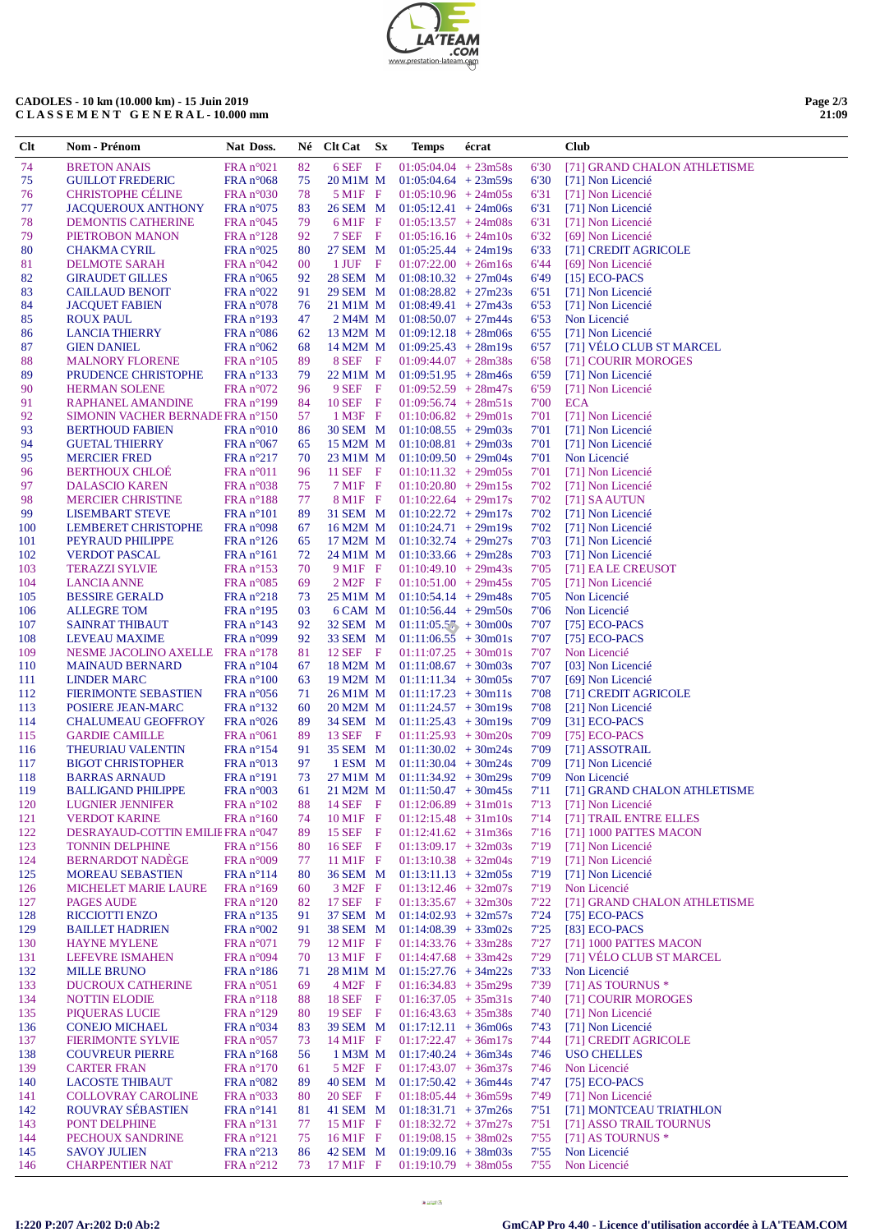| <b>TEAM</b>               |
|---------------------------|
| .COM                      |
| www.prestation-lateam.com |

## CADOLES - 10 km (10.000 km) - 15 Juin 2019<br>CLASSEMENT GENERAL - 10.000 mm

|  | Page $2/3$ |
|--|------------|
|  | 21:09      |

| Clt        | Nom - Prénom                                    | Nat Doss.                                | Né       | Clt Cat Sx             | Temps                                            | écrat |              | Club                                            |
|------------|-------------------------------------------------|------------------------------------------|----------|------------------------|--------------------------------------------------|-------|--------------|-------------------------------------------------|
| 74         | <b>BRETON ANAIS</b>                             | FRA n°021                                | 82       | 6 SEF F                | $01:05:04.04 + 23m58s$                           |       | 6'30         | [71] GRAND CHALON ATHLETISME                    |
| 75         | <b>GUILLOT FREDERIC</b>                         | $FRA n^{\circ}068$                       | 75       | 20 M1M M               | $01:05:04.64 + 23m59s$                           |       | 6'30         | [71] Non Licencié                               |
| 76         | <b>CHRISTOPHE CELINE</b>                        | FRA n°030                                | 78       | $5$ M <sub>1</sub> F F | $01:05:10.96 + 24m05s$                           |       | 6'31         | [71] Non Licencié                               |
| 77         | <b>JACQUEROUX ANTHONY</b>                       | $FRA n^{\circ}075$                       | 83       | 26 SEM M               | $01:05:12.41 + 24m06s$                           |       | 6'31         | [71] Non Licencié                               |
| 78         | <b>DEMONTIS CATHERINE</b>                       | $FRA n^{\circ}045$                       | 79       | $6$ M1F F              | $01:05:13.57 + 24m08s$                           |       | 6'31         | [71] Non Licencié                               |
| 79         | PIETROBON MANON                                 | $FRA n^{\circ}128$                       | 92       | 7 SEF F                | $01:05:16.16 + 24m10s$                           |       | 6'32         | [69] Non Licencié                               |
| 80         | <b>CHAKMA CYRIL</b>                             | $FRA n^{\circ}025$                       | 80       | 27 SEM M               | $01:05:25.44 + 24m19s$                           |       | 6'33         | [71] CREDIT AGRICOLE                            |
| 81         | DELMOTE SARAH                                   | $FRA n^{\circ}042$                       | $00\,$   | 1 JUF F                | $01:07:22.00 + 26m16s$                           |       | 6'44         | [69] Non Licencié                               |
| 82         | <b>GIRAUDET GILLES</b>                          | $FRA n^{\circ}065$                       | 92       | 28 SEM M               | $01:08:10.32 + 27m04s$                           |       | 6'49         | $[15]$ ECO-PACS                                 |
| 83         | <b>CAILLAUD BENOIT</b>                          | $FRA n^{\circ}022$                       | 91       | 29 SEM M               | $01:08:28.82 + 27m23s$                           |       | 6'51         | [71] Non Licencié                               |
| 84         | <b>JACQUET FABIEN</b>                           | FRA n°078                                | 76       | 21 M1M M               | $01:08:49.41 + 27m43s$                           |       | 6'53         | [71] Non Licencié                               |
| 85         | <b>ROUX PAUL</b>                                | $FRA n^{\circ}193$                       | 47       | 2 M4M M                | $01:08:50.07 + 27m44s$                           |       | 6'53         | Non Licencié                                    |
| 86         | <b>LANCIA THIERRY</b>                           | $FRA n^{\circ}086$<br>$FRA n^{\circ}062$ | 62<br>68 | 13 M2M M               | $01:09:12.18 + 28m06s$                           |       | 6'55         | [71] Non Licencié<br>[71] VÉLO CLUB ST MARCEL   |
| 87<br>88   | <b>GIEN DANIEL</b><br><b>MALNORY FLORENE</b>    | $FRA n^{\circ}105$                       | 89       | 14 M2M M<br>8 SEF F    | $01:09:25.43 + 28m19s$<br>$01:09:44.07 + 28m38s$ |       | 6'57<br>6'58 | [71] COURIR MOROGES                             |
| 89         | PRUDENCE CHRISTOPHE                             | $FRA n^{\circ}133$                       | 79       | 22 M1M M               | $01:09:51.95 + 28m46s$                           |       | 6'59         | [71] Non Licencié                               |
| 90         | <b>HERMAN SOLENE</b>                            | FRA n°072                                | 96       | 9 SEF F                | $01:09:52.59 + 28m47s$                           |       | 6'59         | [71] Non Licencié                               |
| 91         | RAPHANEL AMANDINE                               | $FRA n^{\circ}199$                       | 84       | $10$ SEF F             | $01:09:56.74 + 28m51s$                           |       | 7'00         | ECA                                             |
| 92         | SIMONIN VACHER BERNADE FRA n°150                |                                          | 57       | $1$ M3F F              | $01:10:06.82 + 29m01s$                           |       | 7'01         | [71] Non Licencié                               |
| 93         | <b>BERTHOUD FABIEN</b>                          | FRA n°010                                | 86       | 30 SEM M               | $01:10:08.55 + 29m03s$                           |       | 7'01         | [71] Non Licencié                               |
| 94         | <b>GUETAL THIERRY</b>                           | $FRA n^{\circ}067$                       | 65       | 15 M2M M               | $01:10:08.81 + 29m03s$                           |       | 7'01         | [71] Non Licencié                               |
| 95         | <b>MERCIER FRED</b>                             | $FRA n^{\circ}217$                       | 70       | 23 M1M M               | $01:10:09.50 + 29m04s$                           |       | 7'01         | Non Licencié                                    |
| 96         | <b>BERTHOUX CHLOE</b>                           | $FRA n^{\circ}011$                       | 96       | 11 SEF F               | $01:10:11.32 + 29m05s$                           |       | 7'01         | [71] Non Licencié                               |
| 97         | <b>DALASCIO KAREN</b>                           | $FRA n^{\circ}038$                       | 75       | $7$ M1F F              | $01:10:20.80 + 29m15s$                           |       | 7'02         | [71] Non Licencié                               |
| 98         | <b>MERCIER CHRISTINE</b>                        | $FRA n^{\circ}188$                       | 77       | $8$ M1F F              | $01:10:22.64$ + 29m17s                           |       | 7'02         | [71] SAAUTUN                                    |
| 99         | <b>LISEMBART STEVE</b>                          | $FRA n^{\circ}101$                       | 89       | 31 SEM M               | $01:10:22.72 + 29m17s$                           |       | 7'02         | [71] Non Licencié                               |
| 100        | <b>LEMBERET CHRISTOPHE</b>                      | FRA n°098                                | 67       | 16 M2M M               | $01:10:24.71 + 29m19s$                           |       | 7'02         | [71] Non Licencié                               |
| 101        | PEYRAUD PHILIPPE                                | $FRA n^{\circ}126$                       | 65       | 17 M2M M               | $01:10:32.74 + 29m27s$                           |       | 7'03         | [71] Non Licencié                               |
| 102        | <b>VERDOT PASCAL</b>                            | $FRA n^{\circ}161$                       | 72       | 24 M1M M               | $01:10:33.66 + 29m28s$                           |       | 7'03         | [71] Non Licencié                               |
| 103        | <b>TERAZZI SYLVIE</b>                           | $FRA n^{\circ}153$                       | 70       | $9$ M <sub>1</sub> F F | $01:10:49.10 + 29m43s$                           |       | 7'05         | [71] EA LE CREUSOT                              |
| 104        | <b>LANCIA ANNE</b>                              | $FRA n^{\circ}085$                       | 69       | $2 M2F$ F              | $01:10:51.00 + 29m45s$                           |       | 7'05         | [71] Non Licencié                               |
| 105        | <b>BESSIRE GERALD</b>                           | $FRA n^{\circ}218$                       | 73       | 25 M1M M               | $01:10:54.14 + 29m48s$                           |       | 7'05         | Non Licencié                                    |
| 106        | <b>ALLEGRE TOM</b>                              | $FRA n^{\circ}195$                       | 03       | 6 CAM M                | $01:10:56.44 + 29m50s$                           |       | 7'06         | Non Licencié                                    |
| 107        | <b>SAINRAT THIBAUT</b>                          | $FRA n^{\circ}143$                       | 92       | 32 SEM M               | $01:11:05.57 + 30m00s$                           |       | 7'07         | [75] $ECO-PACS$                                 |
| 108        | LEVEAU MAXIME                                   | FRA n°099                                | 92       | 33 SEM M               | $01:11:06.5\overline{5}$ + 30m01s                |       | 7'07         | [75] $ECO-PACS$<br>Non Licencié                 |
| 109<br>110 | NESME JACOLINO AXELLE<br><b>MAINAUD BERNARD</b> | $FRA n^{\circ}178$<br>$FRA n^{\circ}104$ | 81<br>67 | $12$ SEF F<br>18 M2M M | $01:11:07.25 + 30m01s$<br>$01:11:08.67 + 30m03s$ |       | 7'07<br>7'07 | [03] Non Licencié                               |
| 111        | <b>LINDER MARC</b>                              | $FRA n^{\circ}100$                       | 63       | 19 M2M M               | $01:11:11.34 + 30m05s$                           |       | 7'07         | [69] Non Licencié                               |
| 112        | <b>FIERIMONTE SEBASTIEN</b>                     | $FRA n^{\circ}056$                       | 71       | 26 M1M M               | $01:11:17.23 + 30m11s$                           |       | 7'08         | [71] CREDIT AGRICOLE                            |
| 113        | POSIERE JEAN-MARC                               | $FRA n^{\circ}132$                       | 60       | 20 M2M M               | $01:11:24.57 + 30m19s$                           |       | 7'08         | [21] Non Licencié                               |
| 114        | <b>CHALUMEAU GEOFFROY</b>                       | $FRA n^{\circ}026$                       | 89       | 34 SEM M               | $01:11:25.43 + 30m19s$                           |       | 7'09         | $[31]$ ECO-PACS                                 |
| 115        | <b>GARDIE CAMILLE</b>                           | $FRA n^{\circ}061$                       | 89       | 13 SEF F               | $01:11:25.93 + 30m20s$                           |       | 7'09         | [75] $ECO-PACS$                                 |
| 116        | THEURIAU VALENTIN                               | $FRA n^{\circ}154$                       | 91       | 35 SEM M               | $01:11:30.02 + 30m24s$                           |       | 7'09         | [71] ASSOTRAIL                                  |
| 117        | <b>BIGOT CHRISTOPHER</b>                        | FRA n°013                                | 97       | 1 ESM M                | $01:11:30.04 + 30m24s$                           |       | 7'09         | [71] Non Licencié                               |
| 118        | <b>BARRAS ARNAUD</b>                            | $FRA n^{\circ}191$                       | 73       | 27 M1M M               | $01:11:34.92 + 30m29s$                           |       | 7'09         | Non Licencié                                    |
| 119        | <b>BALLIGAND PHILIPPE</b>                       | FRA n°003                                | 61       | 21 M2M M               | $01:11:50.47 + 30m45s$                           |       | 7'11         | [71] GRAND CHALON ATHLETISME                    |
| 120        | <b>LUGNIER JENNIFER</b>                         | $FRA n^{\circ}102$                       | 88       | 14 SEF F               | $01:12:06.89 + 31m01s$                           |       | 7'13         | [71] Non Licencié                               |
| 121        | <b>VERDOT KARINE</b>                            | FRA n°160                                | 74       | 10 M1F F               | $01:12:15.48 + 31m10s$                           |       | 7'14         | [71] TRAIL ENTRE ELLES                          |
| 122        | DESRAYAUD-COTTIN EMILIE FRA n°047               |                                          | 89       | 15 SEF F               | $01:12:41.62 + 31m36s$                           |       | 7'16         | [71] 1000 PATTES MACON                          |
| 123        | <b>TONNIN DELPHINE</b>                          | $FRA n^{\circ}156$                       | 80       | 16 SEF F               | $01:13:09.17 + 32m03s$                           |       | 7'19         | [71] Non Licencié                               |
| 124        | <b>BERNARDOT NADÈGE</b>                         | FRA n°009                                | 77       | 11 M1F F               | $01:13:10.38 + 32m04s$                           |       | 7'19         | [71] Non Licencié                               |
| 125        | <b>MOREAU SEBASTIEN</b>                         | $FRA n^{\circ}114$                       | 80       | 36 SEM M               | $01:13:11.13 + 32m05s$                           |       | 7'19         | [71] Non Licencié                               |
| 126        | <b>MICHELET MARIE LAURE</b>                     | $FRA n^{\circ}169$                       | 60       | $3 M2F$ F              | $01:13:12.46 + 32m07s$                           |       | 7'19         | Non Licencié                                    |
| 127<br>128 | <b>PAGES AUDE</b><br><b>RICCIOTTI ENZO</b>      | $FRA n^{\circ}120$<br>$FRA n^{\circ}135$ | 82<br>91 | 17 SEF F<br>37 SEM M   | $01:13:35.67 + 32m30s$<br>$01:14:02.93 + 32m57s$ |       | 7'22<br>7'24 | [71] GRAND CHALON ATHLETISME<br>[75] $ECO-PACS$ |
| 129        | <b>BAILLET HADRIEN</b>                          | FRA n°002                                | 91       | 38 SEM M               | $01:14:08.39 + 33m02s$                           |       | 7'25         | $[83]$ ECO-PACS                                 |
| 130        | <b>HAYNE MYLENE</b>                             | FRA n°071                                | 79       | 12 M1F F               | $01:14:33.76 + 33m28s$                           |       | 7'27         | [71] 1000 PATTES MACON                          |
| 131        | <b>LEFEVRE ISMAHEN</b>                          | FRA $n^{\circ}094$                       | 70       | 13 M1F F               | $01:14:47.68 + 33m42s$                           |       | 7'29         | [71] VÉLO CLUB ST MARCEL                        |
| 132        | <b>MILLE BRUNO</b>                              | $FRA n^{\circ}186$                       | 71       | 28 M1M M               | $01:15:27.76 + 34m22s$                           |       | 7'33         | Non Licencié                                    |
| 133        | <b>DUCROUX CATHERINE</b>                        | $FRA n^{\circ}051$                       | 69       | $4 M2F$ F              | $01:16:34.83 + 35m29s$                           |       | 7'39         | [71] AS TOURNUS $*$                             |
| 134        | <b>NOTTIN ELODIE</b>                            | $FRA n^{\circ}118$                       | 88       | 18 SEF F               | $01:16:37.05 + 35m31s$                           |       | 7'40         | [71] COURIR MOROGES                             |
| 135        | <b>PIQUERAS LUCIE</b>                           | $FRA n^{\circ}129$                       | 80       | 19 SEF F               | $01:16:43.63 + 35m38s$                           |       | 7'40         | [71] Non Licencié                               |
| 136        | <b>CONEJO MICHAEL</b>                           | $FRA n^{\circ}034$                       | 83       | 39 SEM M               | $01:17:12.11 + 36m06s$                           |       | 7'43         | [71] Non Licencié                               |
| 137        | <b>FIERIMONTE SYLVIE</b>                        | FRA n°057                                | 73       | $14 \text{ M1F}$ F     | $01:17:22.47 + 36m17s$                           |       | 7'44         | [71] CREDIT AGRICOLE                            |
| 138        | <b>COUVREUR PIERRE</b>                          | FRA n°168                                | 56       | 1 M3M M                | $01:17:40.24 + 36m34s$                           |       | 7'46         | <b>USO CHELLES</b>                              |
| 139        | <b>CARTER FRAN</b>                              | $FRA n^{\circ}170$                       | 61       | $5 M2F$ F              | $01:17:43.07 + 36m37s$                           |       | 7'46         | Non Licencié                                    |
| 140        | <b>LACOSTE THIBAUT</b>                          | FRA n°082                                | 89       | 40 SEM M               | $01:17:50.42 + 36m44s$                           |       | 7'47         | [75] $ECO-PACS$                                 |
| 141        | <b>COLLOVRAY CAROLINE</b>                       | FRA n°033                                | 80       | 20 SEF F               | $01:18:05.44 + 36m59s$                           |       | 7'49         | [71] Non Licencié                               |
| 142        | ROUVRAY SÉBASTIEN                               | $FRA n^{\circ}141$                       | 81       | 41 SEM M               | $01:18:31.71 + 37m26s$                           |       | 7'51         | [71] MONTCEAU TRIATHLON                         |
| 143        | PONT DELPHINE                                   | $FRA n^{\circ}131$                       | 77       | 15 M1F F               | $01:18:32.72 + 37m27s$                           |       | 7'51         | [71] ASSO TRAIL TOURNUS                         |
| 144        | PECHOUX SANDRINE                                | $FRA n^{\circ}121$                       | 75       | $16 \,\mathrm{M1F}$ F  | $01:19:08.15 + 38m02s$                           |       | 7'55         | [71] AS TOURNUS $*$                             |
| 145        | <b>SAVOY JULIEN</b>                             | FRA $n^{\circ}$ 213                      | 86       | 42 SEM M               | $01:19:09.16 + 38m03s$                           |       | 7'55         | Non Licencié                                    |
| 146        | <b>CHARPENTIER NAT</b>                          | $FRA n^{\circ}212$                       | 73       | 17 M1F F               | $01:19:10.79 + 38m05s$                           |       | 7'55         | Non Licencié                                    |